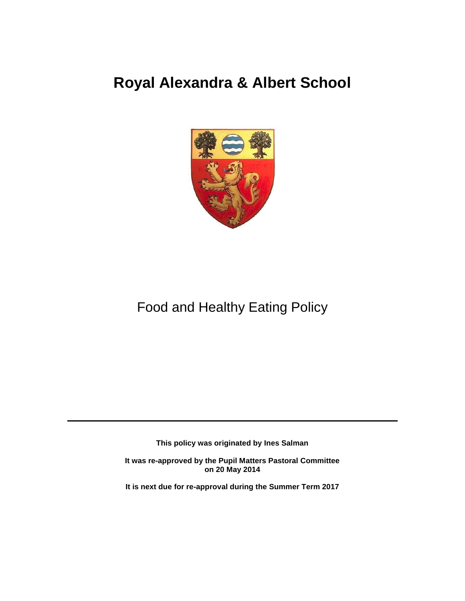# **Royal Alexandra & Albert School**



## Food and Healthy Eating Policy

**This policy was originated by Ines Salman**

**It was re-approved by the Pupil Matters Pastoral Committee on 20 May 2014**

**It is next due for re-approval during the Summer Term 2017**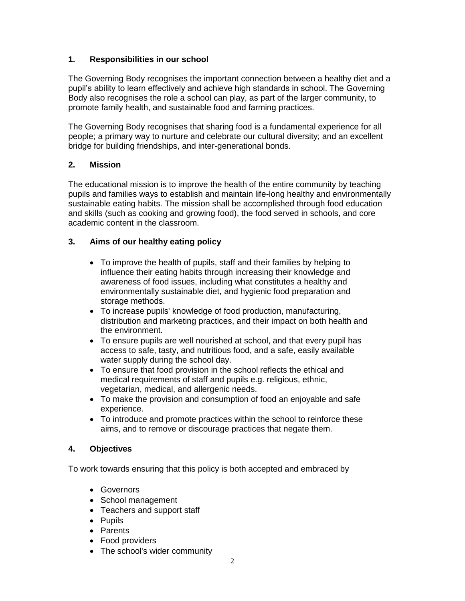### **1. Responsibilities in our school**

The Governing Body recognises the important connection between a healthy diet and a pupil's ability to learn effectively and achieve high standards in school. The Governing Body also recognises the role a school can play, as part of the larger community, to promote family health, and sustainable food and farming practices.

The Governing Body recognises that sharing food is a fundamental experience for all people; a primary way to nurture and celebrate our cultural diversity; and an excellent bridge for building friendships, and inter-generational bonds.

### **2. Mission**

The educational mission is to improve the health of the entire community by teaching pupils and families ways to establish and maintain life-long healthy and environmentally sustainable eating habits. The mission shall be accomplished through food education and skills (such as cooking and growing food), the food served in schools, and core academic content in the classroom.

### **3. Aims of our healthy eating policy**

- To improve the health of pupils, staff and their families by helping to influence their eating habits through increasing their knowledge and awareness of food issues, including what constitutes a healthy and environmentally sustainable diet, and hygienic food preparation and storage methods.
- To increase pupils' knowledge of food production, manufacturing, distribution and marketing practices, and their impact on both health and the environment.
- To ensure pupils are well nourished at school, and that every pupil has access to safe, tasty, and nutritious food, and a safe, easily available water supply during the school day.
- To ensure that food provision in the school reflects the ethical and medical requirements of staff and pupils e.g. religious, ethnic, vegetarian, medical, and allergenic needs.
- To make the provision and consumption of food an enjoyable and safe experience.
- To introduce and promote practices within the school to reinforce these aims, and to remove or discourage practices that negate them.

#### **4. Objectives**

To work towards ensuring that this policy is both accepted and embraced by

- Governors
- School management
- Teachers and support staff
- Pupils
- Parents
- Food providers
- The school's wider community